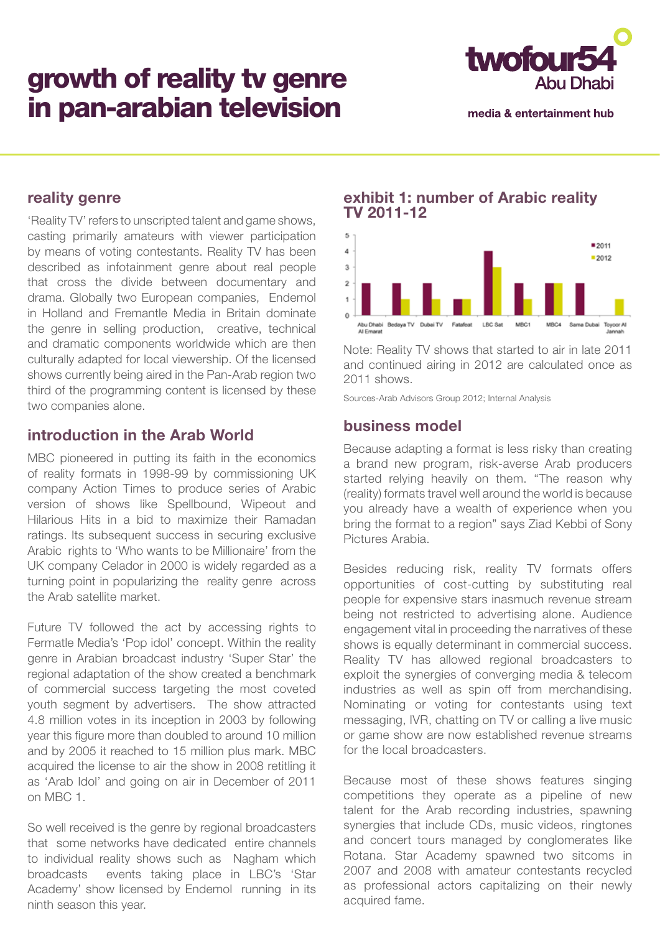# growth of reality tv genre in pan-arabian television



media & entertainment hub

# **reality genre**

'Reality TV' refers to unscripted talent and game shows, casting primarily amateurs with viewer participation by means of voting contestants. Reality TV has been described as infotainment genre about real people that cross the divide between documentary and drama. Globally two European companies, Endemol in Holland and Fremantle Media in Britain dominate the genre in selling production, creative, technical and dramatic components worldwide which are then culturally adapted for local viewership. Of the licensed shows currently being aired in the Pan-Arab region two third of the programming content is licensed by these two companies alone.

# **introduction in the Arab World**

MBC pioneered in putting its faith in the economics of reality formats in 1998-99 by commissioning UK company Action Times to produce series of Arabic version of shows like Spellbound, Wipeout and Hilarious Hits in a bid to maximize their Ramadan ratings. Its subsequent success in securing exclusive Arabic rights to 'Who wants to be Millionaire' from the UK company Celador in 2000 is widely regarded as a turning point in popularizing the reality genre across the Arab satellite market.

Future TV followed the act by accessing rights to Fermatle Media's 'Pop idol' concept. Within the reality genre in Arabian broadcast industry 'Super Star' the regional adaptation of the show created a benchmark of commercial success targeting the most coveted youth segment by advertisers. The show attracted 4.8 million votes in its inception in 2003 by following year this figure more than doubled to around 10 million and by 2005 it reached to 15 million plus mark. MBC acquired the license to air the show in 2008 retitling it as 'Arab Idol' and going on air in December of 2011 on MBC 1.

So well received is the genre by regional broadcasters that some networks have dedicated entire channels to individual reality shows such as Nagham which broadcasts events taking place in LBC's 'Star Academy' show licensed by Endemol running in its ninth season this year.

#### **exhibit 1: number of Arabic reality TV 2011-12**



Note: Reality TV shows that started to air in late 2011 and continued airing in 2012 are calculated once as 2011 shows.

Sources-Arab Advisors Group 2012; Internal Analysis

## **business model**

Because adapting a format is less risky than creating a brand new program, risk-averse Arab producers started relying heavily on them. "The reason why (reality) formats travel well around the world is because you already have a wealth of experience when you bring the format to a region" says Ziad Kebbi of Sony Pictures Arabia.

Besides reducing risk, reality TV formats offers opportunities of cost-cutting by substituting real people for expensive stars inasmuch revenue stream being not restricted to advertising alone. Audience engagement vital in proceeding the narratives of these shows is equally determinant in commercial success. Reality TV has allowed regional broadcasters to exploit the synergies of converging media & telecom industries as well as spin off from merchandising. Nominating or voting for contestants using text messaging, IVR, chatting on TV or calling a live music or game show are now established revenue streams for the local broadcasters.

Because most of these shows features singing competitions they operate as a pipeline of new talent for the Arab recording industries, spawning synergies that include CDs, music videos, ringtones and concert tours managed by conglomerates like Rotana. Star Academy spawned two sitcoms in 2007 and 2008 with amateur contestants recycled as professional actors capitalizing on their newly acquired fame.